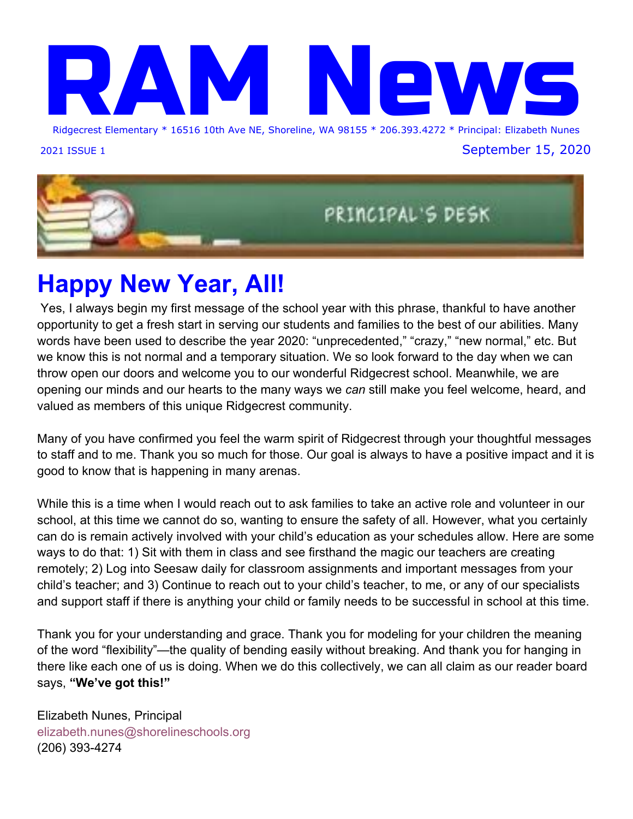

2021 ISSUE 1 September 15, 2020



## **Happy New Year, All!**

 Yes, I always begin my first message of the school year with this phrase, thankful to have another opportunity to get a fresh start in serving our students and families to the best of our abilities. Many words have been used to describe the year 2020: "unprecedented," "crazy," "new normal," etc. But we know this is not normal and a temporary situation. We so look forward to the day when we can throw open our doors and welcome you to our wonderful Ridgecrest school. Meanwhile, we are opening our minds and our hearts to the many ways we *can* still make you feel welcome, heard, and valued as members of this unique Ridgecrest community.

Many of you have confirmed you feel the warm spirit of Ridgecrest through your thoughtful messages to staff and to me. Thank you so much for those. Our goal is always to have a positive impact and it is good to know that is happening in many arenas.

While this is a time when I would reach out to ask families to take an active role and volunteer in our school, at this time we cannot do so, wanting to ensure the safety of all. However, what you certainly can do is remain actively involved with your child's education as your schedules allow. Here are some ways to do that: 1) Sit with them in class and see firsthand the magic our teachers are creating remotely; 2) Log into Seesaw daily for classroom assignments and important messages from your child's teacher; and 3) Continue to reach out to your child's teacher, to me, or any of our specialists and support staff if there is anything your child or family needs to be successful in school at this time.

Thank you for your understanding and grace. Thank you for modeling for your children the meaning of the word "flexibility"—the quality of bending easily without breaking. And thank you for hanging in there like each one of us is doing. When we do this collectively, we can all claim as our reader board says, **"We've got this!"**

Elizabeth Nunes, Principal elizabeth.nunes@shorelineschools.org (206) 393-4274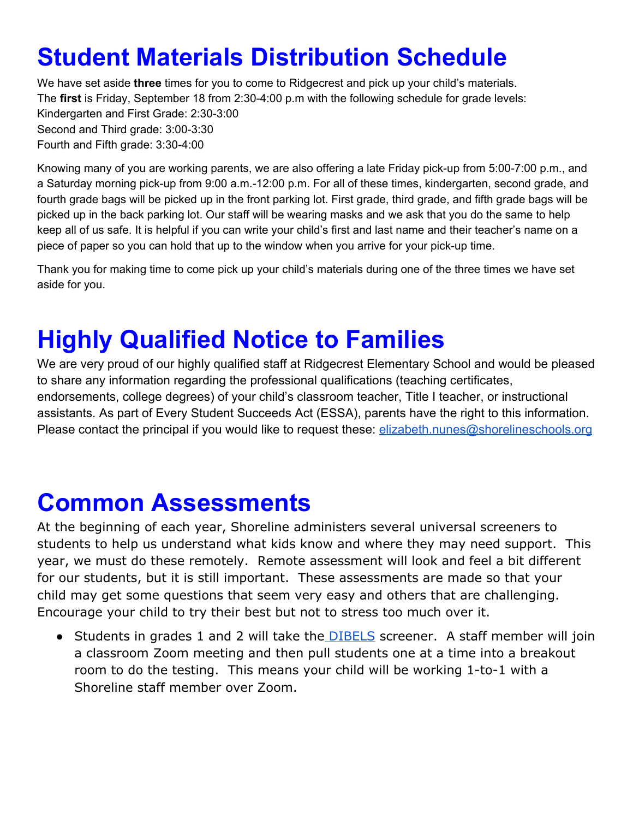## **Student Materials Distribution Schedule**

We have set aside **three** times for you to come to Ridgecrest and pick up your child's materials. The **first** is Friday, September 18 from 2:30-4:00 p.m with the following schedule for grade levels: Kindergarten and First Grade: 2:30-3:00 Second and Third grade: 3:00-3:30 Fourth and Fifth grade: 3:30-4:00

Knowing many of you are working parents, we are also offering a late Friday pick-up from 5:00-7:00 p.m., and a Saturday morning pick-up from 9:00 a.m.-12:00 p.m. For all of these times, kindergarten, second grade, and fourth grade bags will be picked up in the front parking lot. First grade, third grade, and fifth grade bags will be picked up in the back parking lot. Our staff will be wearing masks and we ask that you do the same to help keep all of us safe. It is helpful if you can write your child's first and last name and their teacher's name on a piece of paper so you can hold that up to the window when you arrive for your pick-up time.

Thank you for making time to come pick up your child's materials during one of the three times we have set aside for you.

## **Highly Qualified Notice to Families**

We are very proud of our highly qualified staff at Ridgecrest Elementary School and would be pleased to share any information regarding the professional qualifications (teaching certificates, endorsements, college degrees) of your child's classroom teacher, Title I teacher, or instructional assistants. As part of Every Student Succeeds Act (ESSA), parents have the right to this information. Please contact the principal if you would like to request these: [elizabeth.nunes@shorelineschools.org](mailto:elizabeth.nunes@shorelineschools.org)

## **Common Assessments**

At the beginning of each year, Shoreline administers several universal screeners to students to help us understand what kids know and where they may need support. This year, we must do these remotely. Remote assessment will look and feel a bit different for our students, but it is still important. These assessments are made so that your child may get some questions that seem very easy and others that are challenging. Encourage your child to try their best but not to stress too much over it.

• Students in grades 1 and 2 will take the **DIBELS** screener. A staff member will join a classroom Zoom meeting and then pull students one at a time into a breakout room to do the testing. This means your child will be working 1-to-1 with a Shoreline staff member over Zoom.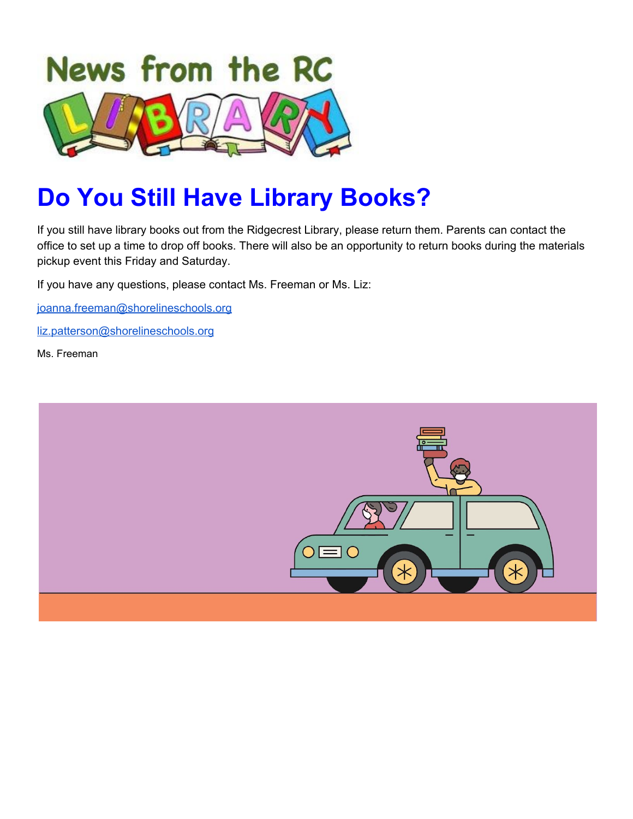

## **Do You Still Have Library Books?**

If you still have library books out from the Ridgecrest Library, please return them. Parents can contact the office to set up a time to drop off books. There will also be an opportunity to return books during the materials pickup event this Friday and Saturday.

If you have any questions, please contact Ms. Freeman or Ms. Liz:

[joanna.freeman@shorelineschools.org](mailto:joanna.freeman@shorelineshcools.org)

[liz.patterson@shorelineschools.org](mailto:liz.patterson@shorelineschools.org)

Ms. Freeman